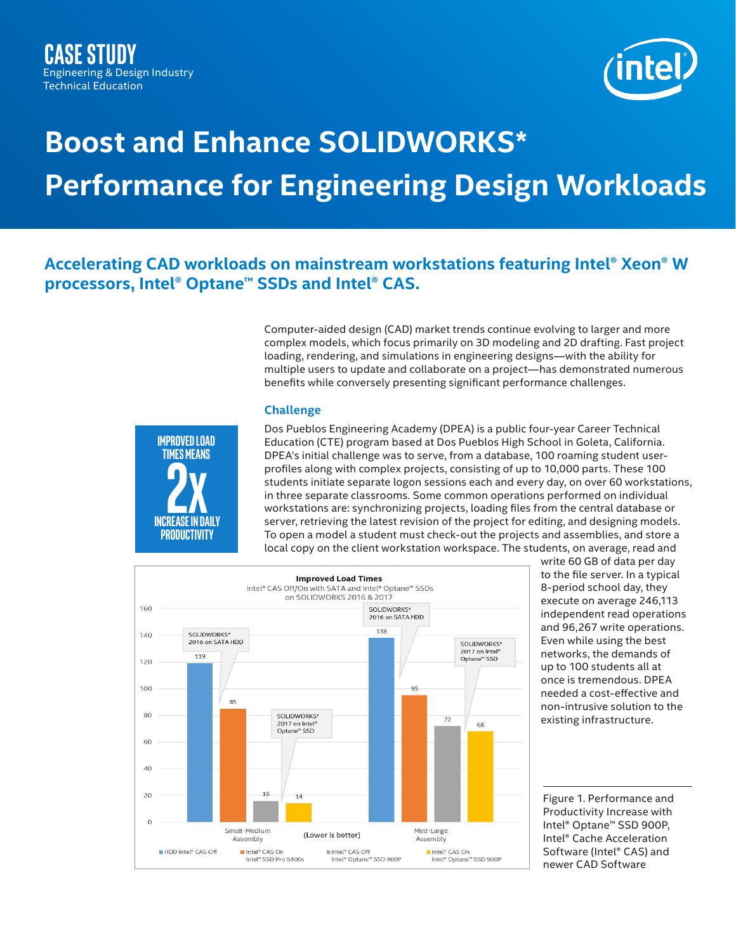

# **Boost and Enhance SOLIDWORKS\* Performance for Engineering Design Workloads**

## **Accelerating CAD workloads on mainstream workstations featuring Intel® Xeon® W processors, Intel® Optane™ SSDs and Intel® CAS.**

Computer-aided design (CAD) market trends continue evolving to larger and more complex models, which focus primarily on 3D modeling and 2D drafting. Fast project loading, rendering, and simulations in engineering designs—with the ability for multiple users to update and collaborate on a project—has demonstrated numerous benefits while conversely presenting significant performance challenges.

### **Challenge**



Dos Pueblos Engineering Academy (DPEA) is a public four-year Career Technical Education (CTE) program based at Dos Pueblos High School in Goleta, California. DPEA's initial challenge was to serve, from a database, 100 roaming student userprofiles along with complex projects, consisting of up to 10,000 parts. These 100 students initiate separate logon sessions each and every day, on over 60 workstations, in three separate classrooms. Some common operations performed on individual workstations are: synchronizing projects, loading files from the central database or server, retrieving the latest revision of the project for editing, and designing models. To open a model a student must check-out the projects and assemblies, and store a local copy on the client workstation workspace. The students, on average, read and



write 60 GB of data per day to the file server. In a typical 8-period school day, they execute on average 246,113 independent read operations and 96,267 write operations. Even while using the best networks, the demands of up to 100 students all at once is tremendous. DPEA needed a cost-effective and non-intrusive solution to the existing infrastructure.

Figure 1. Performance and Productivity Increase with Intel® Optane™ SSD 900P, Intel® Cache Acceleration Software (Intel® CAS) and newer CAD Software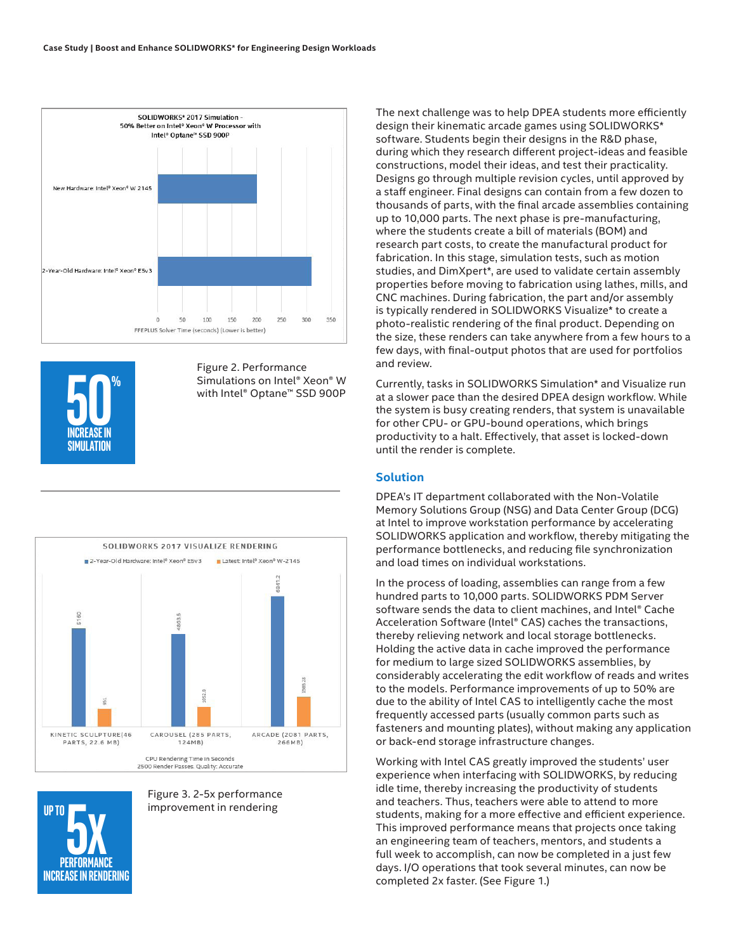



Figure 2. Performance Simulations on Intel® Xeon® W





Figure 3. 2-5x performance **improvement in rendering** 

The next challenge was to help DPEA students more efficiently design their kinematic arcade games using SOLIDWORKS\* software. Students begin their designs in the R&D phase, during which they research different project-ideas and feasible constructions, model their ideas, and test their practicality. Designs go through multiple revision cycles, until approved by a staff engineer. Final designs can contain from a few dozen to thousands of parts, with the final arcade assemblies containing up to 10,000 parts. The next phase is pre-manufacturing, where the students create a bill of materials (BOM) and research part costs, to create the manufactural product for fabrication. In this stage, simulation tests, such as motion studies, and DimXpert\*, are used to validate certain assembly properties before moving to fabrication using lathes, mills, and CNC machines. During fabrication, the part and/or assembly is typically rendered in SOLIDWORKS Visualize\* to create a photo-realistic rendering of the final product. Depending on the size, these renders can take anywhere from a few hours to a few days, with final-output photos that are used for portfolios and review.

Currently, tasks in SOLIDWORKS Simulation\* and Visualize run at a slower pace than the desired DPEA design workflow. While the system is busy creating renders, that system is unavailable for other CPU- or GPU-bound operations, which brings productivity to a halt. Effectively, that asset is locked-down until the render is complete.

#### **Solution**

DPEA's IT department collaborated with the Non-Volatile Memory Solutions Group (NSG) and Data Center Group (DCG) at Intel to improve workstation performance by accelerating SOLIDWORKS application and workflow, thereby mitigating the performance bottlenecks, and reducing file synchronization and load times on individual workstations.

In the process of loading, assemblies can range from a few hundred parts to 10,000 parts. SOLIDWORKS PDM Server software sends the data to client machines, and Intel® Cache Acceleration Software (Intel® CAS) caches the transactions, thereby relieving network and local storage bottlenecks. Holding the active data in cache improved the performance for medium to large sized SOLIDWORKS assemblies, by considerably accelerating the edit workflow of reads and writes to the models. Performance improvements of up to 50% are due to the ability of Intel CAS to intelligently cache the most frequently accessed parts (usually common parts such as fasteners and mounting plates), without making any application or back-end storage infrastructure changes.

Working with Intel CAS greatly improved the students' user experience when interfacing with SOLIDWORKS, by reducing idle time, thereby increasing the productivity of students and teachers. Thus, teachers were able to attend to more students, making for a more effective and efficient experience. This improved performance means that projects once taking an engineering team of teachers, mentors, and students a full week to accomplish, can now be completed in a just few days. I/O operations that took several minutes, can now be completed 2x faster. (See Figure 1.)